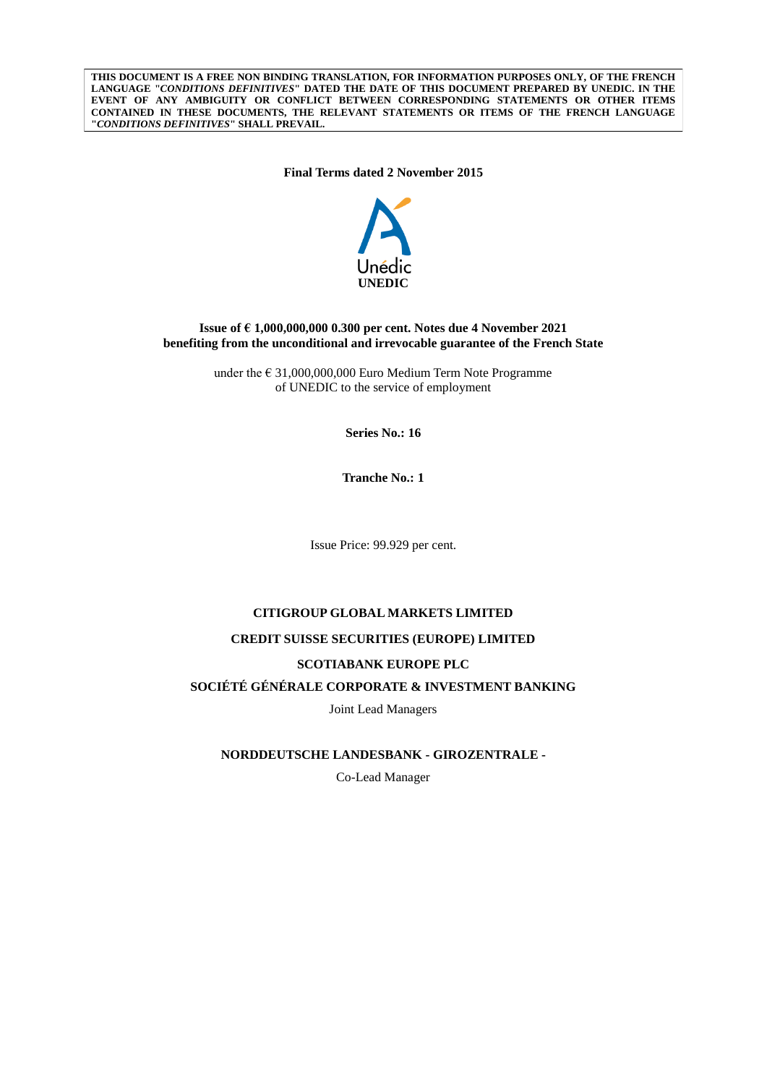**THIS DOCUMENT IS A FREE NON BINDING TRANSLATION, FOR INFORMATION PURPOSES ONLY, OF THE FRENCH LANGUAGE "***CONDITIONS DEFINITIVES***" DATED THE DATE OF THIS DOCUMENT PREPARED BY UNEDIC. IN THE EVENT OF ANY AMBIGUITY OR CONFLICT BETWEEN CORRESPONDING STATEMENTS OR OTHER ITEMS CONTAINED IN THESE DOCUMENTS, THE RELEVANT STATEMENTS OR ITEMS OF THE FRENCH LANGUAGE "***CONDITIONS DEFINITIVES***" SHALL PREVAIL.**

**Final Terms dated 2 November 2015**



## **Issue of € 1,000,000,000 0.300 per cent. Notes due 4 November 2021 benefiting from the unconditional and irrevocable guarantee of the French State**

under the  $\epsilon$  31,000,000,000 Euro Medium Term Note Programme of UNEDIC to the service of employment

**Series No.: 16**

**Tranche No.: 1**

Issue Price: 99.929 per cent.

## **CITIGROUP GLOBAL MARKETS LIMITED**

#### **CREDIT SUISSE SECURITIES (EUROPE) LIMITED**

### **SCOTIABANK EUROPE PLC**

# **SOCIÉTÉ GÉNÉRALE CORPORATE & INVESTMENT BANKING**

Joint Lead Managers

**NORDDEUTSCHE LANDESBANK - GIROZENTRALE -**

Co-Lead Manager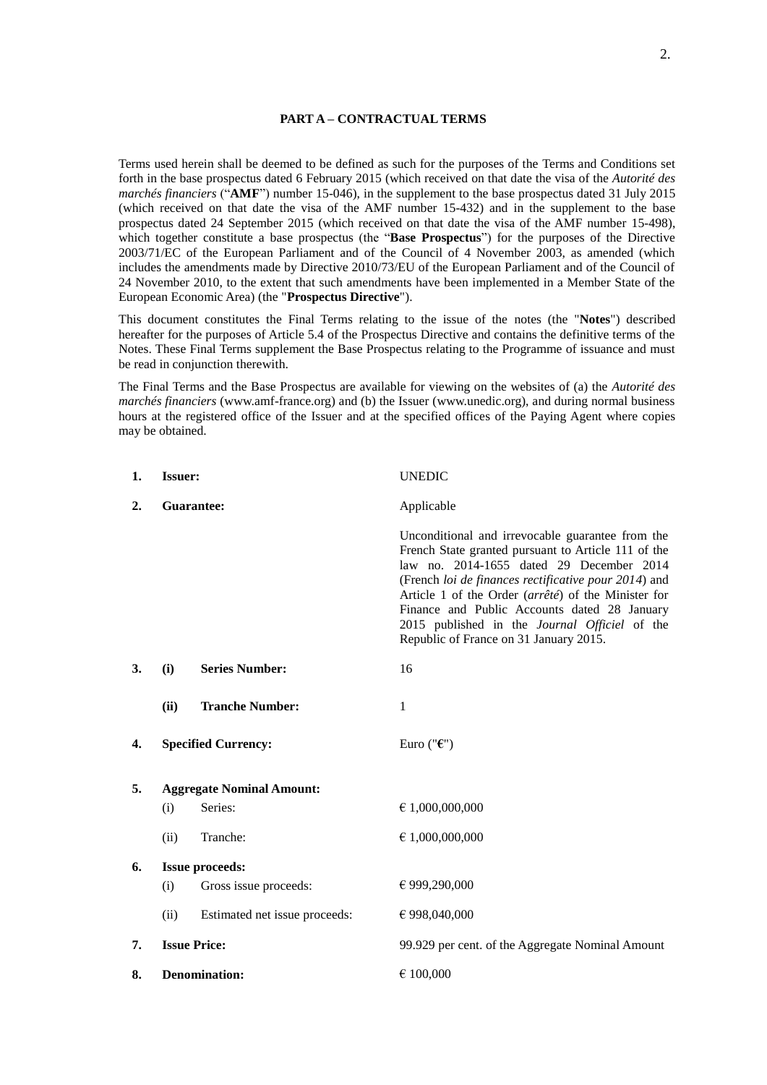#### **PART A – CONTRACTUAL TERMS**

Terms used herein shall be deemed to be defined as such for the purposes of the Terms and Conditions set forth in the base prospectus dated 6 February 2015 (which received on that date the visa of the *Autorité des marchés financiers* ("**AMF**") number 15-046), in the supplement to the base prospectus dated 31 July 2015 (which received on that date the visa of the AMF number 15-432) and in the supplement to the base prospectus dated 24 September 2015 (which received on that date the visa of the AMF number 15-498), which together constitute a base prospectus (the "**Base Prospectus**") for the purposes of the Directive 2003/71/EC of the European Parliament and of the Council of 4 November 2003, as amended (which includes the amendments made by Directive 2010/73/EU of the European Parliament and of the Council of 24 November 2010, to the extent that such amendments have been implemented in a Member State of the European Economic Area) (the "**Prospectus Directive**").

This document constitutes the Final Terms relating to the issue of the notes (the "**Notes**") described hereafter for the purposes of Article 5.4 of the Prospectus Directive and contains the definitive terms of the Notes. These Final Terms supplement the Base Prospectus relating to the Programme of issuance and must be read in conjunction therewith.

The Final Terms and the Base Prospectus are available for viewing on the websites of (a) the *Autorité des marchés financiers* (www.amf-france.org) and (b) the Issuer (www.unedic.org), and during normal business hours at the registered office of the Issuer and at the specified offices of the Paying Agent where copies may be obtained.

| 1. | <b>Issuer:</b>         |                                  | <b>UNEDIC</b>                                                                                                                                                                                                                                                                                                                                                                                                 |
|----|------------------------|----------------------------------|---------------------------------------------------------------------------------------------------------------------------------------------------------------------------------------------------------------------------------------------------------------------------------------------------------------------------------------------------------------------------------------------------------------|
| 2. | Guarantee:             |                                  | Applicable                                                                                                                                                                                                                                                                                                                                                                                                    |
|    |                        |                                  | Unconditional and irrevocable guarantee from the<br>French State granted pursuant to Article 111 of the<br>law no. 2014-1655 dated 29 December 2014<br>(French loi de finances rectificative pour 2014) and<br>Article 1 of the Order (arrêté) of the Minister for<br>Finance and Public Accounts dated 28 January<br>2015 published in the Journal Officiel of the<br>Republic of France on 31 January 2015. |
| 3. | (i)                    | <b>Series Number:</b>            | 16                                                                                                                                                                                                                                                                                                                                                                                                            |
|    | (ii)                   | <b>Tranche Number:</b>           | 1                                                                                                                                                                                                                                                                                                                                                                                                             |
| 4. |                        | <b>Specified Currency:</b>       | Euro (" $\epsilon$ ")                                                                                                                                                                                                                                                                                                                                                                                         |
| 5. |                        | <b>Aggregate Nominal Amount:</b> |                                                                                                                                                                                                                                                                                                                                                                                                               |
|    | (i)                    | Series:                          | € 1,000,000,000                                                                                                                                                                                                                                                                                                                                                                                               |
|    | (ii)                   | Tranche:                         | $\epsilon$ 1,000,000,000                                                                                                                                                                                                                                                                                                                                                                                      |
| 6. | <b>Issue proceeds:</b> |                                  |                                                                                                                                                                                                                                                                                                                                                                                                               |
|    | (i)                    | Gross issue proceeds:            | € 999,290,000                                                                                                                                                                                                                                                                                                                                                                                                 |
|    | (ii)                   | Estimated net issue proceeds:    | € 998,040,000                                                                                                                                                                                                                                                                                                                                                                                                 |
| 7. | <b>Issue Price:</b>    |                                  | 99.929 per cent. of the Aggregate Nominal Amount                                                                                                                                                                                                                                                                                                                                                              |
| 8. | <b>Denomination:</b>   |                                  | € 100,000                                                                                                                                                                                                                                                                                                                                                                                                     |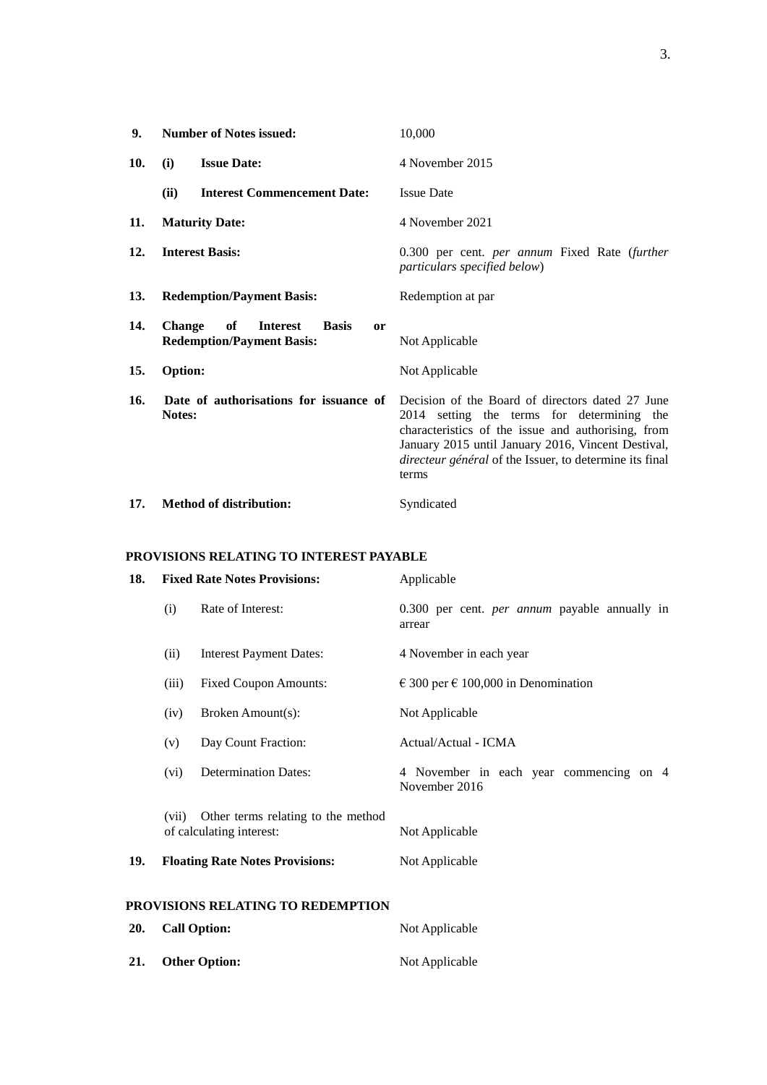| 9.  | <b>Number of Notes issued:</b>                                                                          | 10,000                                                                                                                                                                                                                                                                         |
|-----|---------------------------------------------------------------------------------------------------------|--------------------------------------------------------------------------------------------------------------------------------------------------------------------------------------------------------------------------------------------------------------------------------|
| 10. | <b>Issue Date:</b><br>(i)                                                                               | 4 November 2015                                                                                                                                                                                                                                                                |
|     | (ii)<br><b>Interest Commencement Date:</b>                                                              | <b>Issue Date</b>                                                                                                                                                                                                                                                              |
| 11. | <b>Maturity Date:</b>                                                                                   | 4 November 2021                                                                                                                                                                                                                                                                |
| 12. | <b>Interest Basis:</b>                                                                                  | 0.300 per cent. <i>per annum</i> Fixed Rate (further<br>particulars specified below)                                                                                                                                                                                           |
| 13. | <b>Redemption/Payment Basis:</b>                                                                        | Redemption at par                                                                                                                                                                                                                                                              |
| 14. | of<br><b>Change</b><br><b>Interest</b><br><b>Basis</b><br><b>or</b><br><b>Redemption/Payment Basis:</b> | Not Applicable                                                                                                                                                                                                                                                                 |
| 15. | Option:                                                                                                 | Not Applicable                                                                                                                                                                                                                                                                 |
| 16. | Date of authorisations for issuance of<br>Notes:                                                        | Decision of the Board of directors dated 27 June<br>2014 setting the terms for determining the<br>characteristics of the issue and authorising, from<br>January 2015 until January 2016, Vincent Destival,<br>directeur général of the Issuer, to determine its final<br>terms |
| 17. | <b>Method of distribution:</b>                                                                          | Syndicated                                                                                                                                                                                                                                                                     |

# **PROVISIONS RELATING TO INTEREST PAYABLE**

| 18.                               | <b>Fixed Rate Notes Provisions:</b> |                                                                | Applicable                                                     |
|-----------------------------------|-------------------------------------|----------------------------------------------------------------|----------------------------------------------------------------|
|                                   | (i)                                 | Rate of Interest:                                              | 0.300 per cent. <i>per annum</i> payable annually in<br>arrear |
|                                   | (ii)                                | <b>Interest Payment Dates:</b>                                 | 4 November in each year                                        |
|                                   | (iii)                               | <b>Fixed Coupon Amounts:</b>                                   | $\in$ 300 per $\in$ 100,000 in Denomination                    |
|                                   | (iv)                                | Broken Amount(s):                                              | Not Applicable                                                 |
|                                   | (v)                                 | Day Count Fraction:                                            | Actual/Actual - ICMA                                           |
|                                   | (vi)                                | <b>Determination Dates:</b>                                    | 4 November in each year commencing on 4<br>November 2016       |
|                                   | (vii)                               | Other terms relating to the method<br>of calculating interest: | Not Applicable                                                 |
| 19.                               |                                     | <b>Floating Rate Notes Provisions:</b>                         | Not Applicable                                                 |
| PROVISIONS RELATING TO REDEMPTION |                                     |                                                                |                                                                |
| 20.                               |                                     | <b>Call Option:</b>                                            | Not Applicable                                                 |

**21. Other Option:** Not Applicable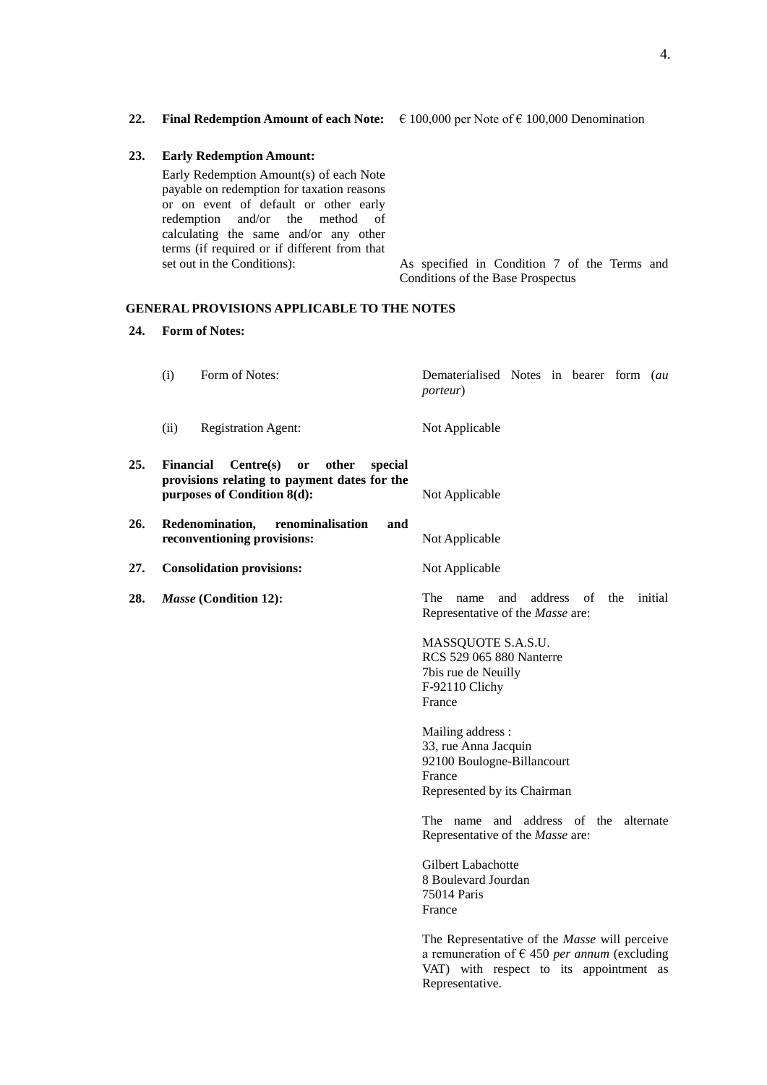**22. Final Redemption Amount of each Note:**  $\epsilon$  100,000 per Note of  $\epsilon$  100,000 Denomination

#### **23. Early Redemption Amount:**

Early Redemption Amount(s) of each Note payable on redemption for taxation reasons or on event of default or other early redemption and/or the method of calculating the same and/or any other terms (if required or if different from that

set out in the Conditions): As specified in Condition 7 of the Terms and Conditions of the Base Prospectus

## **GENERAL PROVISIONS APPLICABLE TO THE NOTES**

#### **24. Form of Notes:**

- (i) Form of Notes: Dematerialised Notes in bearer form (*au porteur*)
- (ii) Registration Agent: Not Applicable
- **25. Financial Centre(s) or other special provisions relating to payment dates for the purposes of Condition 8(d):** Not Applicable
- **26. Redenomination, renominalisation and reconventioning provisions:** Not Applicable
- **27. Consolidation provisions:** Not Applicable
- 

**28.** *Masse* **(Condition 12):** The name and address of the initial Representative of the *Masse* are:

> MASSQUOTE S.A.S.U. RCS 529 065 880 Nanterre 7bis rue de Neuilly F-92110 Clichy France

Mailing address : 33, rue Anna Jacquin 92100 Boulogne-Billancourt France Represented by its Chairman

The name and address of the alternate Representative of the *Masse* are:

Gilbert Labachotte 8 Boulevard Jourdan 75014 Paris France

The Representative of the *Masse* will perceive a remuneration of  $\epsilon$  450 *per annum* (excluding VAT) with respect to its appointment as Representative.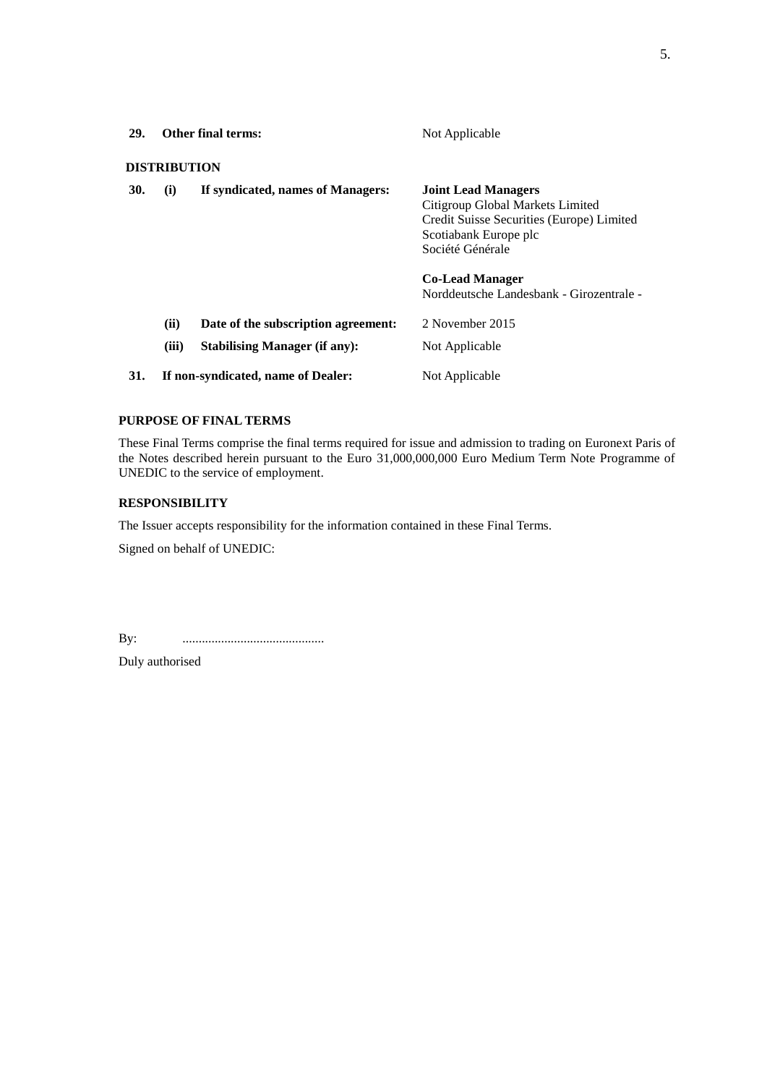| <b>29.</b> | <b>Other final terms:</b>          |                                                                             | Not Applicable                                                                                                                                           |  |
|------------|------------------------------------|-----------------------------------------------------------------------------|----------------------------------------------------------------------------------------------------------------------------------------------------------|--|
|            | <b>DISTRIBUTION</b>                |                                                                             |                                                                                                                                                          |  |
| 30.        | (i)                                | If syndicated, names of Managers:                                           | <b>Joint Lead Managers</b><br>Citigroup Global Markets Limited<br>Credit Suisse Securities (Europe) Limited<br>Scotiabank Europe plc<br>Société Générale |  |
|            |                                    |                                                                             | <b>Co-Lead Manager</b><br>Norddeutsche Landesbank - Girozentrale -                                                                                       |  |
|            | (ii)<br>(iii)                      | Date of the subscription agreement:<br><b>Stabilising Manager (if any):</b> | 2 November 2015<br>Not Applicable                                                                                                                        |  |
| 31.        | If non-syndicated, name of Dealer: |                                                                             | Not Applicable                                                                                                                                           |  |

### **PURPOSE OF FINAL TERMS**

These Final Terms comprise the final terms required for issue and admission to trading on Euronext Paris of the Notes described herein pursuant to the Euro 31,000,000,000 Euro Medium Term Note Programme of UNEDIC to the service of employment.

## **RESPONSIBILITY**

The Issuer accepts responsibility for the information contained in these Final Terms.

Signed on behalf of UNEDIC:

By: ............................................

Duly authorised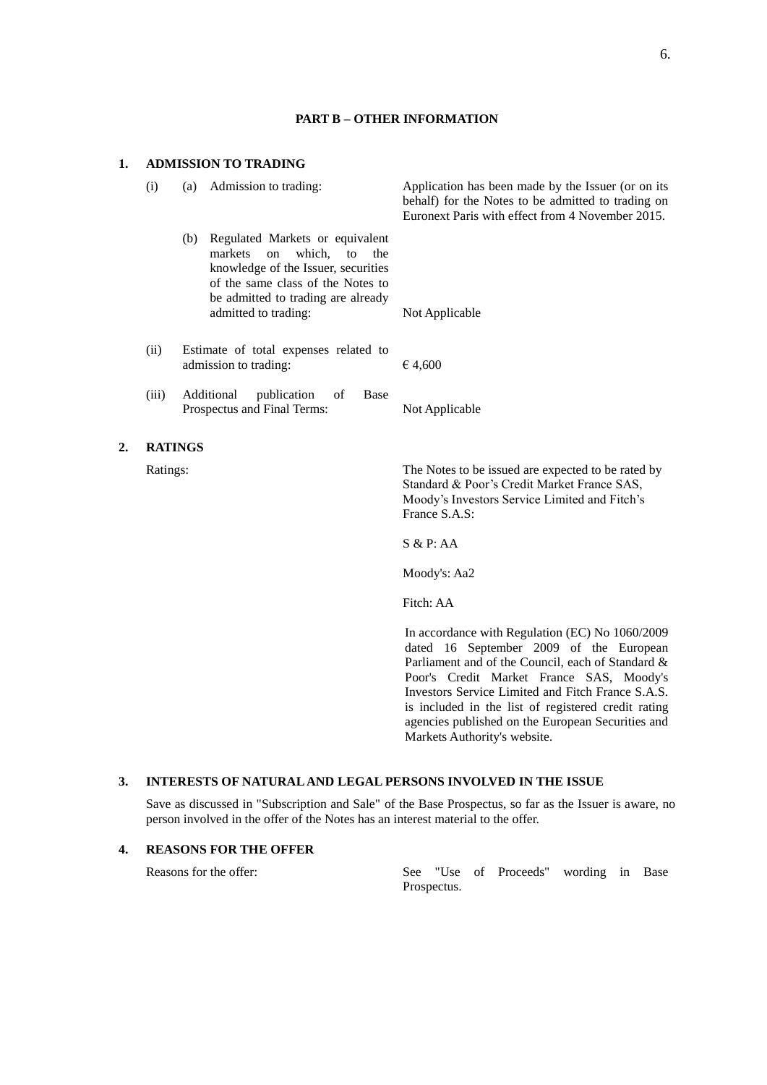#### **PART B – OTHER INFORMATION**

#### **1. ADMISSION TO TRADING**

 $2.$ 

| (i)      | (a)                                                            | Admission to trading:                                                                                                                                                                                             | Application has been made by the Issuer (or on its<br>behalf) for the Notes to be admitted to trading on<br>Euronext Paris with effect from 4 November 2015.        |
|----------|----------------------------------------------------------------|-------------------------------------------------------------------------------------------------------------------------------------------------------------------------------------------------------------------|---------------------------------------------------------------------------------------------------------------------------------------------------------------------|
|          | (b)                                                            | Regulated Markets or equivalent<br>markets<br>which.<br>to<br>on<br>the<br>knowledge of the Issuer, securities<br>of the same class of the Notes to<br>be admitted to trading are already<br>admitted to trading: | Not Applicable                                                                                                                                                      |
| (ii)     | Estimate of total expenses related to<br>admission to trading: |                                                                                                                                                                                                                   | €4,600                                                                                                                                                              |
| (iii)    |                                                                | Additional<br>publication<br>of<br><b>Base</b><br>Prospectus and Final Terms:                                                                                                                                     | Not Applicable                                                                                                                                                      |
|          | <b>RATINGS</b>                                                 |                                                                                                                                                                                                                   |                                                                                                                                                                     |
| Ratings: |                                                                |                                                                                                                                                                                                                   | The Notes to be issued are expected to be rated by<br>Standard & Poor's Credit Market France SAS,<br>Moody's Investors Service Limited and Fitch's<br>France S.A.S: |
|          |                                                                |                                                                                                                                                                                                                   | S & P: AA                                                                                                                                                           |
|          |                                                                |                                                                                                                                                                                                                   | Moody's: Aa2                                                                                                                                                        |

Fitch: AA

In accordance with Regulation (EC) No 1060/2009 dated 16 September 2009 of the European Parliament and of the Council, each of Standard & Poor's Credit Market France SAS, Moody's Investors Service Limited and Fitch France S.A.S. is included in the list of registered credit rating agencies published on the European Securities and Markets Authority's website.

# **3. INTERESTS OF NATURAL AND LEGAL PERSONS INVOLVED IN THE ISSUE**

Save as discussed in "Subscription and Sale" of the Base Prospectus, so far as the Issuer is aware, no person involved in the offer of the Notes has an interest material to the offer.

#### **4. REASONS FOR THE OFFER**

Reasons for the offer: See "Use of Proceeds" wording in Base Prospectus.